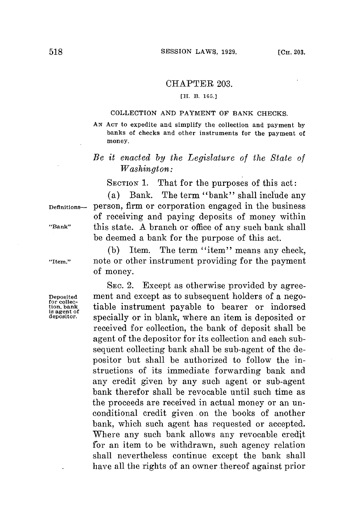### CHAPTER **203.**

### [H. B. **165.]**

#### **COLLECTION AND PAYMENT OF BANK CHECKS.**

**AN ACT to expedite and simplify the collection and payment by banks of checks and other instruments for the payment of money.**

# *Be it enacted by the Legislature of the State of Washington:*

**SECTION 1.** That for the purposes of this act:

(a) Bank. The term "bank" shall include any **Definitions~** person, firm or corporation engaged in the business of receiving and paying deposits of money within **"Bank"** this state. **A** branch or office of any such bank shall be deemed a bank for the purpose of this act.

**(b)** Item. The term "item" means any check, **"Item."** note or other instrument providing for the payment of money.

SEc. 2. Except as otherwise provided **by** agree-**Deposited** ment and except as to subsequent holders of a negotor collection, bank included instrument payable to bearer or indorsed **tion, bank tiable instrument payable to bearer or indorsed**<br>is agent of **construction in the sense of the sense of the sense of the deposited** or specially or in blank, where an item is deposited or received for collection, the bank of deposit shall be agent of the depositor **for** its collection and each subsequent collecting bank shall be sub-agent of the depositor but shall be authorized to follow the instructions of its immediate forwarding bank and any credit given **by** any such agent or sub-agent bank therefor shall be revocable until such time as the proceeds are received in actual money or an unconditional credit given on the books of another bank, which such agent has requested or accepted. Where any such bank allows any revocable credit for an item to be withdrawn, such agency relation shall nevertheless continue except the bank shall have all the rights of an owner thereof against prior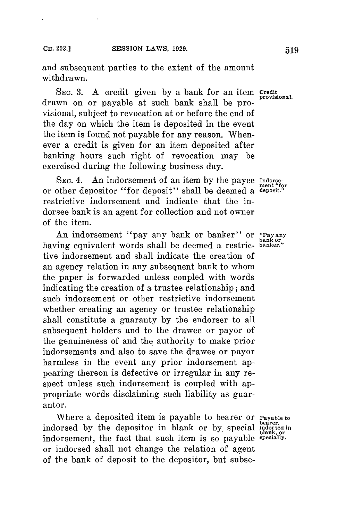# **CH.** 203.] **SESSION LAWS, 1929. 519**

and subsequent parties to the extent of the amount withdrawn.

SEC. 3. A credit given by a bank for an item Credit provisional drawn on or payable at such bank shall be provisional, subject to revocation at or before the end of the day on which the item is deposited in the event the item is found not payable for any reason. Whenever a credit is given for an item deposited after banking hours such right of revocation may be exercised during the following business day.

**SEC.** 4. An indorsement of an item **by** the payee **Indorse**or other depositor "for deposit" shall be deemed a **deposit."** restrictive indorsement and indicate that the indorsee bank is an agent **for** collection and not owner of the item.

An indorsement "pay any bank or banker" or **"ray any** bank or having equivalent words shall be deemed a restric- **banker."** tive indorsement and shall indicate the creation of an agency relation in any subsequent bank to whom the paper is forwarded unless coupled with words indicating the creation of a trustee relationship; and such indorsement or other restrictive indorsement whether creating an agency or trustee relationship shall constitute a guaranty **by** the endorser to all subsequent holders and to the drawee or payor of the genuineness of and the authority to make prior indorsements and also to save the drawee or payor harmless in the event any prior indorsement appearing thereon is defective or irregular in any respect unless such indorsement is coupled with appropriate words disclaiming such liability as guarantor.

Where a deposited item is payable to bearer or **Payable to** bearer indorsed **by** the depositor in blank or **by** special **indorsed in blank, or** indorsement, the fact that such item is so payable **specially.** or indorsed shall not change the relation of agent of the bank of deposit to the depositor, but subse-

ment "for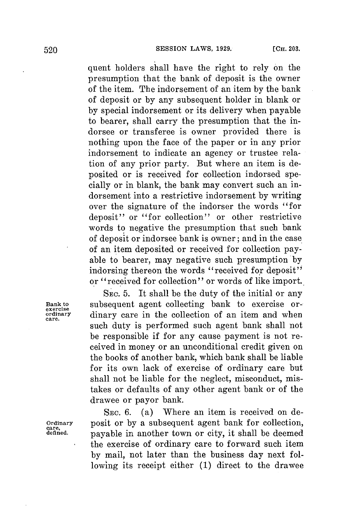quent holders shall have the right to rely on the presumption that the bank of deposit is the owner of the item. The indorsement of an item **by** the bank of deposit or **by** any subsequent holder in blank or **by** special indorsement or its delivery when payable to bearer, shall carry the presumption that the indorsee or transferee is owner provided there is nothing upon the face of the paper or in any prior indorsement to indicate an agency or trustee relation of any prior party. But where an item is deposited or is received for collection indorsed specially or in blank, the bank may convert such an indorsement into a restrictive indorsement **by** writing over the signature of the indorser the words "for deposit" or "for collection" or other restrictive words to negative the presumption that such bank of deposit or indorsee bank is owner; and in the case of an item deposited or received for collection payable to bearer, may negative such presumption **by** indorsing thereon the words "received for deposit" or "received **for** collection" or words of like import.

**SEc. 5.** It shall be the duty of the initial or any **Bank to** subsequent agent collecting bank to exercise or**ordinary** dinary care in the collection of an item and when **care.** such duty is performed such agent bank shall not **be** responsible if for any cause payment is not received in money or an unconditional credit given on the books of another bank, which bank shall be liable for its own lack of exercise of ordinary care but shall not be liable for the neglect, misconduct, mistakes or defaults of any other agent bank or of the drawee or payor bank.

**SEc. 6.** (a) Where an item is received on de-**Ordinary posit or by a subsequent agent bank for collection,**  $\det_{\text{defined}}$  **parable in another town or city** it shall be deemed payable in another town or city, it shall be deemed the exercise of ordinary care to forward such item **by** mail, not later than the business day next following its receipt either **(1)** direct to the drawee

**exercise**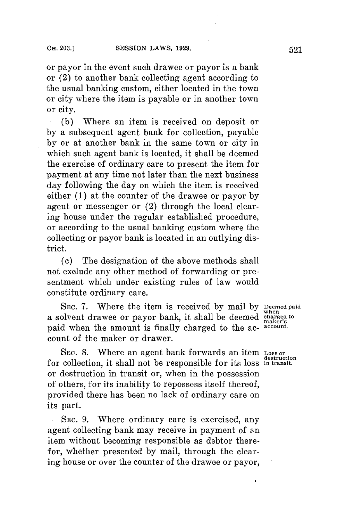or payor in the event such drawee or payor is a bank or (2) to another bank collecting agent according to the usual banking custom, either located in the town or city where the item is payable or in another town or city.

**(b)** Where an item is received on deposit or **by** a subsequent agent bank for collection, payable **by** or at another bank in the same town or city in which such agent bank is located, it shall be deemed the exercise of ordinary care to present the item for payment at any time not later than the next business day following the day on which the item is received either **(1)** at the counter of the drawee or payor **by** agent or messenger or (2) through the local clearing house under the regular established procedure, or according to the usual banking custom where the collecting or payor bank is located in an outlying district.

**(c)** The designation of the above methods shall not exclude any other method of forwarding or presentment which under existing rules of law would constitute ordinary care.

**SEC. 7.** Where the item is received **by** mail **by Deemed paid when** a solvent drawee or payor bank, it shall be deemed charged to maker's paid when the amount is finally charged to the ac- **account.** count of the maker or drawer.

**SEC. 8.** Where an agent bank forwards an item **Loss or destruction** for collection, it shall not be responsible for its loss **in transit.** or destruction in transit or, when in the possession of others, for its inability to repossess itself thereof, provided there has been no lack of ordinary care on its part.

**. SEC. 9.** Where ordinary care is exercised, any agent collecting bank may receive in payment of an item without becoming responsible as debtor therefor, whether presented **by** mail, through the clearing house or over the counter of the drawee or payor,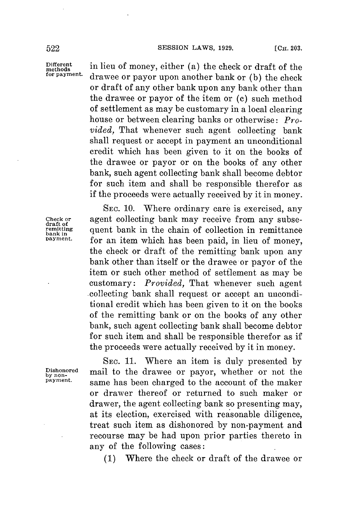## **522 SESSION LAWS, 1929.** [CH. 203

Different in lieu of money, either (a) the check or draft of the **discussion**  $\frac{1}{n}$  in  $\frac{1}{n}$  in  $\frac{1}{n}$  in  $\frac{1}{n}$  in  $\frac{1}{n}$  in  $\frac{1}{n}$  in  $\frac{1}{n}$  in  $\frac{1}{n}$  in  $\frac{1}{n}$  in  $\frac{1}{n}$  in  $\frac{1}{n}$  in **for payment.** drawee or payor upon another bank or **(b)** the check or draft of any other bank upon any bank other than the drawee or payor of the item or **(c)** such method of settlement as may be customary in a local clearing house or between clearing banks or otherwise: *Provided,* That whenever such agent collecting bank shall request or accept in payment an unconditional credit which has been given to it on the books of the drawee or payor or on the books of any other bank, such agent collecting bank shall become debtor for such item and shall be responsible therefor as if the proceeds were actually received **by** it in money.

**SEC. 10.** Where ordinary care is exercised, any **Check or** agent collecting bank may receive from any subse- **draft of remitting** quent bank in the chain of collection in remittance  $\frac{1}{P}$  bank in the chain of collection in remittance for an item which has been paid, in lieu of money, the check or draft of the remitting bank upon any bank other than itself or the drawee or payor of the item or such other method of setilement as may be customary: *Provided,* That whenever such agent collecting bank shall request or accept an unconditional credit which has been given to it on the books of the remitting bank or on the books of any other bank, such agent collecting bank shall become debtor for such item and shall be responsible therefor as if the proceeds were actually received **by** it in money.

**SEC. 11.** Where an item is duly presented **by** Dishonored mail to the drawee or payor, whether or not the payment. **Same has been charged to the account of the maker** or drawer thereof or returned to such maker or drawer, the agent collecting bank so presenting may, at its election, exercised with reasonable diligence, treat such item as dishonored **by** non-payment and recourse may be had upon prior parties thereto in any of the following cases:

**(1)** Where the check or draft of the drawee or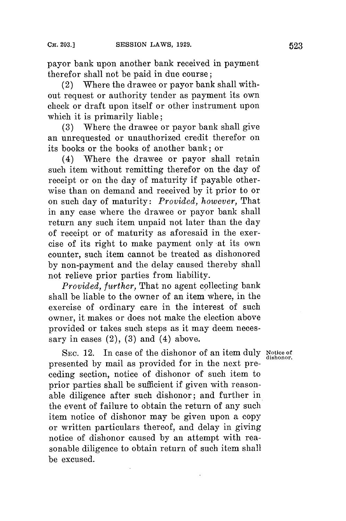payor bank upon another bank received in payment therefor shall not be paid in due course;

(2) Where the drawee or payor bank shall without request or authority tender as payment its own check or draft upon itself or other instrument upon which it is primarily liable:

**(3)** Where the drawee or payor bank shall give an unrequested or unauthorized credit therefor on its books or the books of another bank; or

(4) Where the drawee or payor shall retain such item without remitting therefor on the day of receipt or on the day of maturity if payable otherwise than on demand and received **by** it prior to or on such day of maturity: *Provided, however,* That in any case where the drawee or payor bank shall return any such item unpaid not later than the day of receipt or of maturity as aforesaid in the exercise of its right to make payment only at its own counter, such item cannot be treated as dishonored **by** non-payment and the delay caused thereby shall not relieve prior parties from liability.

*Provided, further,* That no agent collecting bank shall be liable to the owner of an item where, in the exercise of ordinary care in the interest of such owner, it makes or does not make the election above provided or takes such steps as it may deem necessary in cases (2), **(3)** and (4) above.

**SEC.** 12. In case of the dishonor of an item duly **Notice of** presented **by** mail as provided for in the next preceding section, notice of dishonor of such item to prior parties shall be sufficient if given with reasonable diligence after such dishonor; and further in the event of failure to obtain the return of any such item notice of dishonor may be given upon a copy or written particulars thereof, and delay in giving notice of dishonor caused **by** an attempt with reasonable diligence to obtain return of such item shall be excused.

**dishonor.**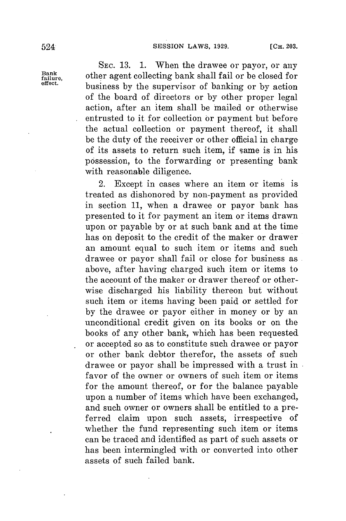**SEC. 13. 1.** When the drawee or payor, or any **Bank other agent collecting bank shall fail or be closed for**<br>**Eaglure**, **other agent collecting bank shall fail or be closed for Example 18 Example 18 September 2011** of the reflect.<br> **effect.** business by the supervisor of banking or by action of the board of directors or **by** other proper legal action, after an item shall be mailed or otherwise entrusted to it for collection or payment but before the actual collection or payment thereof, it shall be the duty of the receiver or other official in charge of its assets to return such item, if same is in his possession, to the forwarding or presenting bank with reasonable diligence.

> 2. Except in cases where an item or items is treated as dishonored **by** non-payment as provided in section **11,** when a drawee or payor bank has presented to it for payment an item or items drawn upon or payable **by** or at such bank and at the time has on deposit to the credit of the maker or drawer an amount equal to such item or items and such drawee or payor shall fail or close for business as above, after having charged such item or items to the account of the maker or drawer thereof or otherwise discharged his liability thereon but without such item or items having been paid or settled for **by** the drawee or payor either in money or **by** an unconditional credit given on its books or on the books of any other bank, which has been requested or accepted so as to constitute such drawee or payor or other bank debtor therefor, the assets of such drawee or payor shall be impressed with a trust in favor of the owner or owners of such item or items for the amount thereof, or for the balance payable upon a number of items which have been exchanged, and such owner or owners shall be entitled to a preferred claim upon such assets, irrespective of whether the fund representing such item or items can be traced and identified as part of such assets or has been intermingled with or converted into other assets of such failed bank.